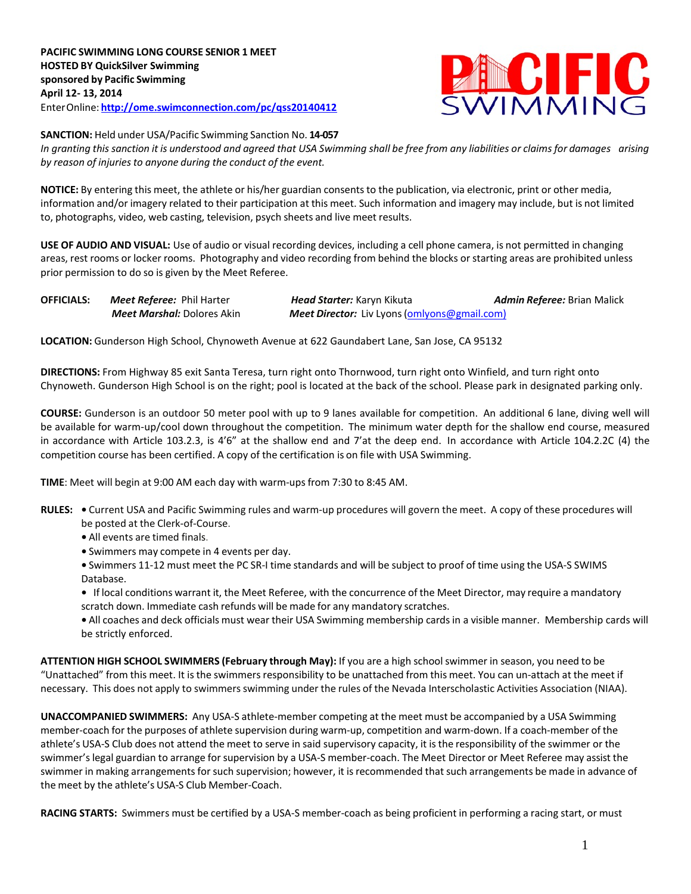

**SANCTION:** Held under USA/Pacific Swimming Sanction No. **14-057**

In granting this sanction it is understood and agreed that USA Swimming shall be free from any liabilities or claims for damages arising *by reason of injuriesto anyone during the conduct of the event.*

**NOTICE:** By entering this meet, the athlete or his/her guardian consents to the publication, via electronic, print or other media, information and/or imagery related to their participation at this meet. Such information and imagery may include, but is not limited to, photographs, video, web casting, television, psych sheets and live meet results.

**USE OF AUDIO AND VISUAL:** Use of audio or visual recording devices, including a cell phone camera, is not permitted in changing areas, rest rooms or locker rooms. Photography and video recording from behind the blocks or starting areas are prohibited unless prior permission to do so is given by the Meet Referee.

| <b>OFFICIALS:</b> | <b>Meet Referee:</b> Phil Harter  | <b>Head Starter:</b> Karyn Kikuta                   | Admin Referee: Brian Malick |
|-------------------|-----------------------------------|-----------------------------------------------------|-----------------------------|
|                   | <b>Meet Marshal:</b> Dolores Akin | <b>Meet Director:</b> Liv Lyons (omlyons@gmail.com) |                             |

**LOCATION:** Gunderson High School, Chynoweth Avenue at 622 Gaundabert Lane, San Jose, CA 95132

**DIRECTIONS:** From Highway 85 exit Santa Teresa, turn right onto Thornwood, turn right onto Winfield, and turn right onto Chynoweth. Gunderson High School is on the right; pool is located at the back of the school. Please park in designated parking only.

**COURSE:** Gunderson is an outdoor 50 meter pool with up to 9 lanes available for competition. An additional 6 lane, diving well will be available for warm-up/cool down throughout the competition. The minimum water depth for the shallow end course, measured in accordance with Article 103.2.3, is 4'6" at the shallow end and 7'at the deep end. In accordance with Article 104.2.2C (4) the competition course has been certified. A copy of the certification is on file with USA Swimming.

**TIME**: Meet will begin at 9:00 AM each day with warm-ups from 7:30 to 8:45 AM.

- **RULES: •** Current USA and Pacific Swimming rules and warm-up procedures will govern the meet. A copy of these procedures will be posted at the Clerk-of-Course.
	- **•** All events are timed finals.
	- **•** Swimmers may compete in 4 events per day.
	- **•** Swimmers 11-12 must meet the PC SR-I time standards and will be subject to proof of time using the USA-S SWIMS Database.
	- **•** If local conditions warrant it, the Meet Referee, with the concurrence of the Meet Director, may require a mandatory scratch down. Immediate cash refunds will be made for any mandatory scratches.
	- **•** All coaches and deck officials must wear their USA Swimming membership cardsin a visible manner. Membership cards will be strictly enforced.

**ATTENTION HIGH SCHOOL SWIMMERS (February through May):** If you are a high schoolswimmer in season, you need to be "Unattached" from this meet. It is the swimmers responsibility to be unattached from this meet. You can un-attach at the meet if necessary. This does not apply to swimmers swimming under the rules of the Nevada Interscholastic Activities Association (NIAA).

**UNACCOMPANIED SWIMMERS:** Any USA-S athlete-member competing at the meet must be accompanied by a USA Swimming member-coach for the purposes of athlete supervision during warm-up, competition and warm-down. If a coach-member of the athlete's USA-S Club does not attend the meet to serve in said supervisory capacity, it is the responsibility of the swimmer or the swimmer'slegal guardian to arrange forsupervision by a USA-S member-coach. The Meet Director or Meet Referee may assist the swimmer in making arrangements for such supervision; however, it is recommended that such arrangements be made in advance of the meet by the athlete's USA-S Club Member-Coach.

**RACING STARTS:** Swimmers must be certified by a USA-S member-coach as being proficient in performing a racing start, or must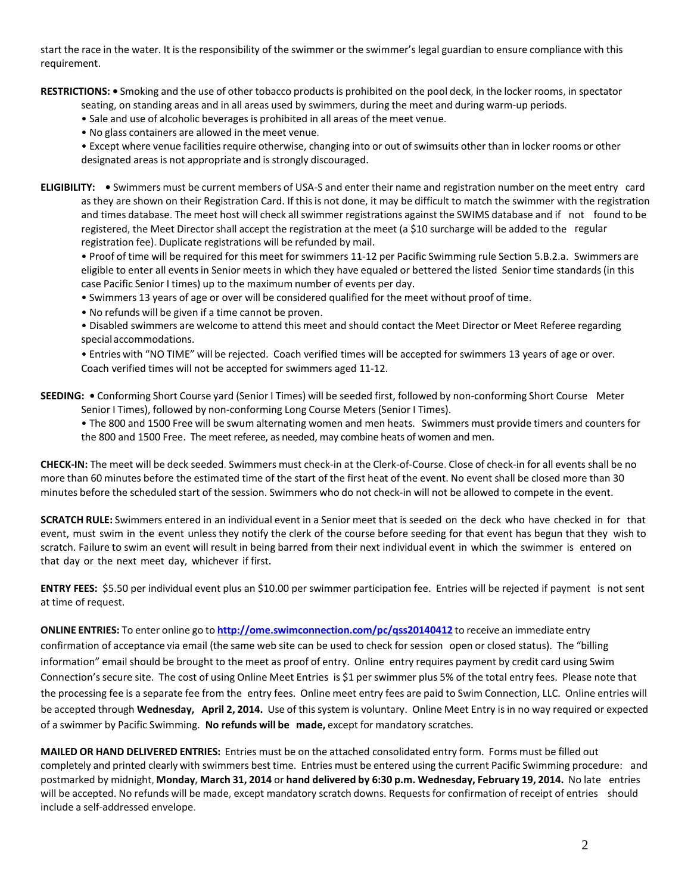start the race in the water. It is the responsibility of the swimmer or the swimmer's legal guardian to ensure compliance with this requirement.

**RESTRICTIONS: •** Smoking and the use of other tobacco productsis prohibited on the pool deck, in the locker rooms, in spectator

seating, on standing areas and in all areas used by swimmers, during the meet and during warm-up periods.

• Sale and use of alcoholic beverages is prohibited in all areas of the meet venue.

• No glass containers are allowed in the meet venue.

• Except where venue facilities require otherwise, changing into or out of swimsuits other than in locker rooms or other designated areas is not appropriate and is strongly discouraged.

**ELIGIBILITY: •** Swimmers must be current members of USA-S and enter their name and registration number on the meet entry card as they are shown on their Registration Card. If this is not done, it may be difficult to match the swimmer with the registration and times database. The meet host will check all swimmer registrations against the SWIMS database and if not found to be registered, the Meet Directorshall accept the registration at the meet (a \$10 surcharge will be added to the regular registration fee). Duplicate registrations will be refunded by mail.

• Proof of time will be required for this meet for swimmers 11-12 per Pacific Swimming rule Section 5.B.2.a. Swimmers are eligible to enter all events in Senior meets in which they have equaled or bettered the listed Senior time standards (in this case Pacific Senior I times) up to the maximum number of events per day.

• Swimmers 13 years of age or over will be considered qualified for the meet without proof of time.

• No refunds will be given if a time cannot be proven.

• Disabled swimmers are welcome to attend this meet and should contact the Meet Director or Meet Referee regarding special accommodations.

• Entries with "NO TIME" will be rejected. Coach verified times will be accepted for swimmers 13 years of age or over. Coach verified times will not be accepted for swimmers aged 11-12.

**SEEDING: •** Conforming Short Course yard (Senior I Times) will be seeded first, followed by non-conforming Short Course Meter Senior I Times), followed by non-conforming Long Course Meters (Senior I Times).

• The 800 and 1500 Free will be swum alternating women and men heats. Swimmers must provide timers and counters for the 800 and 1500 Free. The meet referee, as needed, may combine heats of women and men.

**CHECK-IN:** The meet will be deck seeded. Swimmers must check-in at the Clerk-of-Course. Close of check-in for all events shall be no more than 60 minutes before the estimated time of the start of the first heat of the event. No event shall be closed more than 30 minutes before the scheduled start of the session. Swimmers who do not check-in will not be allowed to compete in the event.

**SCRATCH RULE:** Swimmers entered in an individual event in a Senior meet that is seeded on the deck who have checked in for that event, must swim in the event unless they notify the clerk of the course before seeding for that event has begun that they wish to scratch. Failure to swim an event will result in being barred from their next individual event in which the swimmer is entered on that day or the next meet day, whichever if first.

**ENTRY FEES:** \$5.50 per individual event plus an \$10.00 per swimmer participation fee. Entries will be rejected if payment is not sent at time of request.

**ONLINE ENTRIES:** To enter online go to **<http://ome.swimconnection.com/pc/qss20140412>** to receive an immediate entry confirmation of acceptance via email (the same web site can be used to check for session open or closed status). The "billing information" email should be brought to the meet as proof of entry. Online entry requires payment by credit card using Swim Connection'ssecure site. The cost of using Online Meet Entries is \$1 per swimmer plus 5% of the total entry fees. Please note that the processing fee is a separate fee from the entry fees. Online meet entry fees are paid to Swim Connection, LLC. Online entries will be accepted through **Wednesday, April 2, 2014.** Use of this system is voluntary. Online Meet Entry is in no way required or expected of a swimmer by Pacific Swimming. **No refunds will be made,** except for mandatory scratches.

**MAILED OR HAND DELIVERED ENTRIES:** Entries must be on the attached consolidated entry form. Forms must be filled out completely and printed clearly with swimmers best time. Entries must be entered using the current Pacific Swimming procedure: and postmarked by midnight, **Monday, March 31, 2014** or **hand delivered by 6:30 p.m. Wednesday, February 19, 2014.** No late entries will be accepted. No refunds will be made, except mandatory scratch downs. Requestsfor confirmation of receipt of entries should include a self-addressed envelope.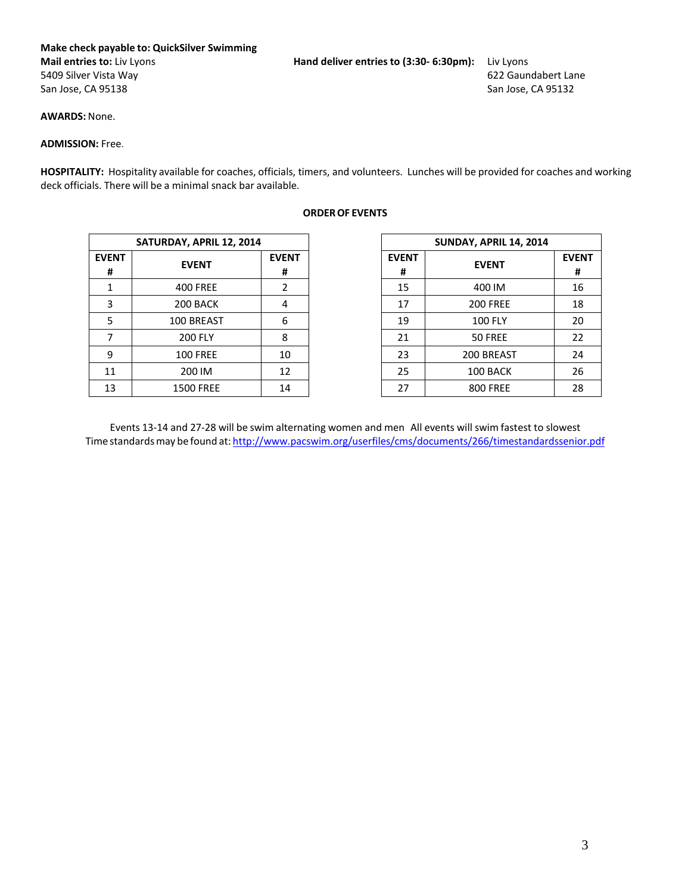## **Make check payable to: QuickSilver Swimming Mail entries to:** Liv Lyons **Hand deliver entries to (3:30- 6:30pm):** Liv Lyons

5409 Silver Vista Way 622 Gaundabert Lane San Jose, CA 95138

**AWARDS:** None.

## **ADMISSION:** Free.

**HOSPITALITY:** Hospitality available for coaches, officials, timers, and volunteers. Lunches will be provided for coaches and working deck officials. There will be a minimal snack bar available.

| SATURDAY, APRIL 12, 2014                                                    |
|-----------------------------------------------------------------------------|
| <b>EVENT</b><br><b>EVENT</b><br><b>EVENT</b><br><b>EVENT</b><br>#<br>#<br># |
| 15<br><b>400 FREE</b><br>2                                                  |
| 3<br>17<br>200 BACK<br>4                                                    |
| 5<br>19<br>100 BREAST<br>6                                                  |
| <b>200 FLY</b><br>21<br>8<br>7                                              |
| 9<br>23<br><b>100 FREE</b><br>10                                            |
| 25<br>12<br>11<br>200 IM                                                    |
| 27<br>13<br><b>1500 FREE</b><br>14                                          |

## **ORDEROF EVENTS**

| SATURDAY, APRIL 12, 2014 |                   |                   | <b>SUNDAY, APRIL 14, 2014</b> |                 |              |
|--------------------------|-------------------|-------------------|-------------------------------|-----------------|--------------|
| <b>EVENT</b>             | <b>EVENT</b><br># | <b>EVENT</b><br># |                               | <b>EVENT</b>    | <b>EVENT</b> |
| <b>400 FREE</b>          | 2                 | 15                |                               | 400 IM          |              |
| 200 BACK                 | 4                 | 17                |                               | <b>200 FREE</b> |              |
| 100 BREAST               | 6                 | 19                |                               | <b>100 FLY</b>  |              |
| <b>200 FLY</b>           | 8                 | 21                |                               | 50 FREE         |              |
| <b>100 FREE</b>          | 10                | 23                |                               | 200 BREAST      |              |
| 200 IM                   | 12                | 25                |                               | 100 BACK        |              |
| <b>1500 FREE</b>         | 14                | 27                |                               | <b>800 FREE</b> |              |
|                          |                   |                   |                               |                 |              |

Events 13-14 and 27-28 will be swim alternating women and men All events will swim fastest to slowest Time standards may be found at: <http://www.pacswim.org/userfiles/cms/documents/266/timestandardssenior.pdf>